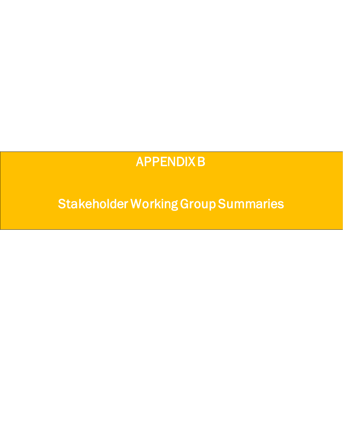# APPENDIX B

Stakeholder Working Group Summaries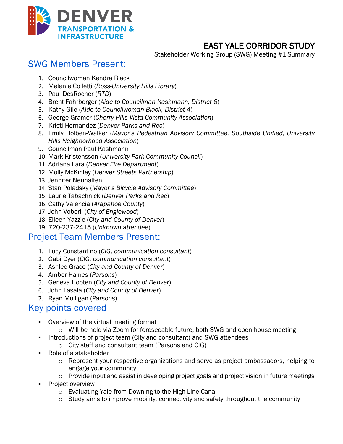

**EAST YALE CORRIDOR STUDY**<br>Stakeholder Working Group (SWG) Meeting #1 Summary

### SWG Members Present:

- 1. Councilwoman Kendra Black
- 2. Melanie Colletti (*Ross-University Hills Library*)
- 3. Paul DesRocher (*RTD*)
- 4. Brent Fahrberger (*Aide to Councilman Kashmann, District 6*)
- 5. Kathy Gile (*Aide to Councilwoman Black, District 4*)
- 6. George Gramer (*Cherry Hills Vista Community Association*)
- 7. Kristi Hernandez (*Denver Parks and Rec*)
- 8. Emily Holben-Walker (*Mayor's Pedestrian Advisory Committee, Southside Unified, University Hills Neighborhood Association*)
- 9. Councilman Paul Kashmann
- 10. Mark Kristensson (*University Park Community Council*)
- 11. Adriana Lara (*Denver Fire Department*)
- 12. Molly McKinley (*Denver Streets Partnership*)
- 13. Jennifer Neuhalfen
- 14. Stan Poladsky (*Mayor's Bicycle Advisory Committee*)
- 15. Laurie Tabachnick (*Denver Parks and Rec*)
- 16. Cathy Valencia (*Arapahoe County*)
- 17. John Voboril (*City of Englewood*)
- 18. Eileen Yazzie (*City and County of Denver*)
- 19. 720-237-2415 (*Unknown attendee*)

### Project Team Members Present:

- 1. Lucy Constantino (*CIG, communication consultant*)
- 2. Gabi Dyer (*CIG, communication consultant*)
- 3. Ashlee Grace (*City and County of Denver*)
- 4. Amber Haines (*Parsons*)
- 5. Geneva Hooten (*City and County of Denver*)
- 6. John Lasala (*City and County of Denver*)
- 7. Ryan Mulligan (*Parsons*)

### Key points covered

- Overview of the virtual meeting format
	- o Will be held via Zoom for foreseeable future, both SWG and open house meeting
- Introductions of project team (City and consultant) and SWG attendees
	- o City staff and consultant team (Parsons and CIG)
- Role of a stakeholder
	- o Represent your respective organizations and serve as project ambassadors, helping to engage your community
	- o Provide input and assist in developing project goals and project vision in future meetings
- **Project overview** 
	- o Evaluating Yale from Downing to the High Line Canal
	- $\circ$  Study aims to improve mobility, connectivity and safety throughout the community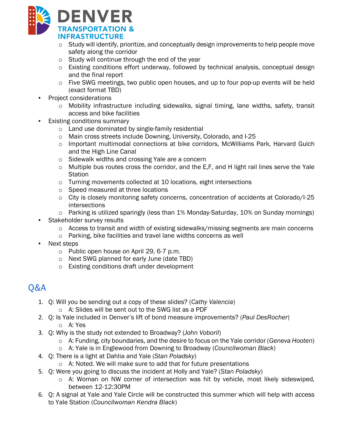

- $\circ$  Study will identify, prioritize, and conceptually design improvements to help people move safety along the corridor
- o Study will continue through the end of the year
- o Existing conditions effort underway, followed by technical analysis, conceptual design and the final report
- $\circ$  Five SWG meetings, two public open houses, and up to four pop-up events will be held (exact format TBD)
- Project considerations
	- $\circ$  Mobility infrastructure including sidewalks, signal timing, lane widths, safety, transit access and bike facilities
- **Existing conditions summary** 
	- o Land use dominated by single-family residential
	- o Main cross streets include Downing, University, Colorado, and I-25
	- $\circ$  Important multimodal connections at bike corridors, McWilliams Park, Harvard Gulch and the High Line Canal
	- o Sidewalk widths and crossing Yale are a concern
	- o Multiple bus routes cross the corridor, and the E,F, and H light rail lines serve the Yale **Station**
	- o Turning movements collected at 10 locations, eight intersections
	- o Speed measured at three locations
	- $\circ$  City is closely monitoring safety concerns, concentration of accidents at Colorado/I-25 intersections
	- o Parking is utilized sparingly (less than 1% Monday-Saturday, 10% on Sunday mornings)
- **•** Stakeholder survey results
	- o Access to transit and width of existing sidewalks/missing segments are main concerns
	- o Parking, bike facilities and travel lane widths concerns as well
- Next steps
	- o Public open house on April 29, 6-7 p.m.
	- o Next SWG planned for early June (date TBD)
	- o Existing conditions draft under development

## Q&A

- 1. Q: Will you be sending out a copy of these slides? (*Cathy Valencia*)
	- o A: Slides will be sent out to the SWG list as a PDF
- 2. Q: Is Yale included in Denver's lift of bond measure improvements? (*Paul DesRocher*) o A: Yes
- 3. Q: Why is the study not extended to Broadway? (*John Voboril*)
	- o A: Funding, city boundaries, and the desire to focus on the Yale corridor (*Geneva Hooten*)
	- o A: Yale is in Englewood from Downing to Broadway (*Councilwoman Black*)
- 4. Q: There is a light at Dahlia and Yale (*Stan Poladsky*)
	- o A: Noted. We will make sure to add that for future presentations
- 5. Q: Were you going to discuss the incident at Holly and Yale? (*Stan Poladsky*)
	- o A: Woman on NW corner of intersection was hit by vehicle, most likely sideswiped, between 12-12:30PM
- 6. Q: A signal at Yale and Yale Circle will be constructed this summer which will help with access to Yale Station (*Councilwoman Kendra Black*)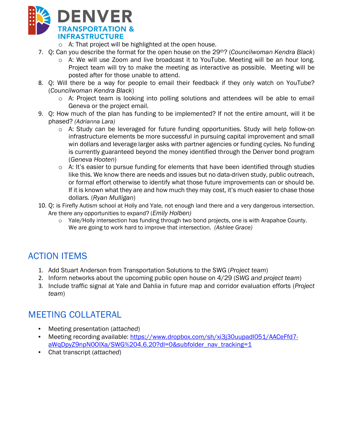

o A: That project will be highlighted at the open house.

- 7. Q: Can you describe the format for the open house on the 29th? (*Councilwoman Kendra Black*)
	- o A: We will use Zoom and live broadcast it to YouTube. Meeting will be an hour long. Project team will try to make the meeting as interactive as possible. Meeting will be posted after for those unable to attend.
- 8. Q: Will there be a way for people to email their feedback if they only watch on YouTube? (*Councilwoman Kendra Black*)
	- o A: Project team is looking into polling solutions and attendees will be able to email Geneva or the project email.
- 9. Q: How much of the plan has funding to be implemented? If not the entire amount, will it be phased? *(Adrianna Lara)*
	- o A: Study can be leveraged for future funding opportunities. Study will help follow-on infrastructure elements be more successful in pursuing capital improvement and small win dollars and leverage larger asks with partner agencies or funding cycles. No funding is currently guaranteed beyond the money identified through the Denver bond program (*Geneva Hooten*)
	- $\circ$  A: It's easier to pursue funding for elements that have been identified through studies like this. We know there are needs and issues but no data-driven study, public outreach, or formal effort otherwise to identify what those future improvements can or should be. If it is known what they are and how much they may cost, it's much easier to chase those dollars. (*Ryan Mulligan*)
- 10. Q: is Firefly Autism school at Holly and Yale, not enough land there and a very dangerous intersection. Are there any opportunities to expand? (*Emily Holben)*
	- $\circ$  Yale/Holly intersection has funding through two bond projects, one is with Arapahoe County. We are going to work hard to improve that intersection. *(Ashlee Grace)*

## ACTION ITEMS

- 1. Add Stuart Anderson from Transportation Solutions to the SWG (*Project team*)
- 2. Inform networks about the upcoming public open house on 4/29 (*SWG and project team*)
- 3. Include traffic signal at Yale and Dahlia in future map and corridor evaluation efforts (*Project team*)

### MEETING COLLATERAL

- Meeting presentation (*attached*)
- Meeting recording available: https://www.dropbox.com/sh/xi3j30uupadl051/AACeFfd7aWqDpyZ9npN0OIXa/SWG%204.6.20?dl=0&subfolder\_nav\_tracking=1
- Chat transcript (*attached*)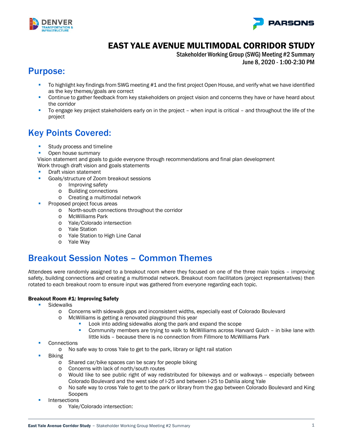



### EAST YALE AVENUE MULTIMODAL CORRIDOR STUDY

Stakeholder Working Group (SWG) Meeting #2 Summary June 8, 2020 - 1:00-2:30 PM

### Purpose:

- To highlight key findings from SWG meeting #1 and the first project Open House, and verify what we have identified as the key themes/goals are correct
- Continue to gather feedback from key stakeholders on project vision and concerns they have or have heard about the corridor
- To engage key project stakeholders early on in the project when input is critical and throughout the life of the project

### Key Points Covered:

- **Study process and timeline**
- Open house summary

Vision statement and goals to guide everyone through recommendations and final plan development Work through draft vision and goals statements

- Draft vision statement
- **Goals/structure of Zoom breakout sessions** 
	- o Improving safety<br>o Building connection
	- **Building connections**
	- o Creating a multimodal network
- Proposed project focus areas
	- o North-south connections throughout the corridor
		- o McWilliams Park
		- o Yale/Colorado intersection
		- o Yale Station
		- o Yale Station to High Line Canal
		- o Yale Way

### Breakout Session Notes – Common Themes

Attendees were randomly assigned to a breakout room where they focused on one of the three main topics – improving safety, building connections and creating a multimodal network. Breakout room facilitators (project representatives) then rotated to each breakout room to ensure input was gathered from everyone regarding each topic.

#### Breakout Room #1: Improving Safety

- **Sidewalks** 
	- o Concerns with sidewalk gaps and inconsistent widths, especially east of Colorado Boulevard
	- o McWilliams is getting a renovated playground this year
		- Look into adding sidewalks along the park and expand the scope
		- Community members are trying to walk to McWilliams across Harvard Gulch in bike lane with little kids – because there is no connection from Fillmore to McWilliams Park
- **Connections** 
	- o No safe way to cross Yale to get to the park, library or light rail station
- Biking
	- o Shared car/bike spaces can be scary for people biking<br>
	o Concerns with lack of north/south routes
	- Concerns with lack of north/south routes
	- o Would like to see public right of way redistributed for bikeways and or walkways -- especially between Colorado Boulevard and the west side of I-25 and between I-25 to Dahlia along Yale
	- o No safe way to cross Yale to get to the park or library from the gap between Colorado Boulevard and King Soopers
- Intersections
	- o Yale/Colorado intersection: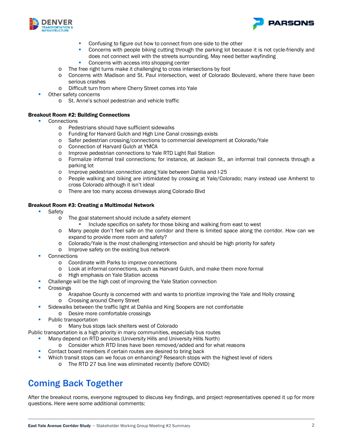



- **Confusing to figure out how to connect from one side to the other**
- **Concerns with people biking cutting through the parking lot because it is not cycle-friendly and** does not connect well with the streets surrounding. May need better wayfinding
- **Concerns with access into shopping center**
- o The free right turns make it challenging to cross intersections by foot
- o Concerns with Madison and St. Paul intersection, west of Colorado Boulevard, where there have been serious crashes
- o Difficult turn from where Cherry Street comes into Yale
- Other safety concerns
	- o St. Anne's school pedestrian and vehicle traffic

#### Breakout Room #2: Building Connections

- Connections
	- o Pedestrians should have sufficient sidewalks
	- o Funding for Harvard Gulch and High Line Canal crossings exists
	- o Safer pedestrian crossing/connections to commercial development at Colorado/Yale
	- o Connection of Harvard Gulch at YMCA
	- o Improve pedestrian connections to Yale RTD Light Rail Station
	- o Formalize informal trail connections; for instance, at Jackson St., an informal trail connects through a parking lot
	- o Improve pedestrian connection along Yale between Dahlia and I-25
	- o People walking and biking are intimidated by crossing at Yale/Colorado; many instead use Amherst to cross Colorado although it isn't ideal
	- o There are too many access driveways along Colorado Blvd

#### Breakout Room #3: Creating a Multimodal Network

- Safety
	- o The goal statement should include a safety element
		- Include specifics on safety for those biking and walking from east to west
	- o Many people don't feel safe on the corridor and there is limited space along the corridor. How can we expand to provide more room and safety?
	- o Colorado/Yale is the most challenging intersection and should be high priority for safety
	- o Improve safety on the existing bus network
- **Connections** 
	- o Coordinate with Parks to improve connections
	- o Look at informal connections, such as Harvard Gulch, and make them more formal connections on Yale Station access
	- High emphasis on Yale Station access
- Challenge will be the high cost of improving the Yale Station connection
- **Crossings** 
	- o Arapahoe County is concerned with and wants to prioritize improving the Yale and Holly crossing
	- o Crossing around Cherry Street
- Sidewalks between the traffic light at Dahlia and King Soopers are not comfortable
	- o Desire more comfortable crossings
- Public transportation
	- o Many bus stops lack shelters west of Colorado

Public transportation is a high priority in many communities, especially bus routes

- Many depend on RTD services (University Hills and University Hills North)
	- o Consider which RTD lines have been removed/added and for what reasons
- Contact board members if certain routes are desired to bring back
- Which transit stops can we focus on enhancing? Research stops with the highest level of riders
	- o The RTD 27 bus line was eliminated recently (before COVID)

### Coming Back Together

After the breakout rooms, everyone regrouped to discuss key findings, and project representatives opened it up for more questions. Here were some additional comments: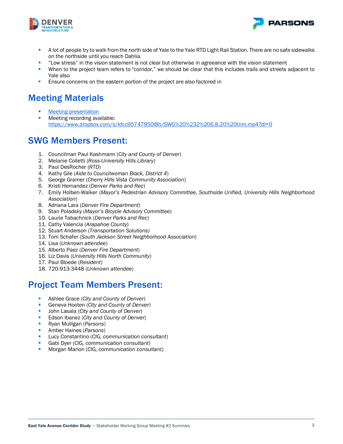



- A lot of people try to walk from the north side of Yale to the Yale RTD Light Rail Station. There are no safe sidewalks on the northside until you reach Dahlia.
- "Low stress" in the vision statement is not clear but otherwise in agreeance with the vision statement
- When to the project team refers to "corridor," we should be clear that this includes trails and streets adjacent to Yale also
- Ensure concerns on the eastern portion of the project are also factored in

### Meeting Materials

- [Meeting presentation](https://www.dropbox.com/s/0diw50vvujzh6xr/Yale%20Goals%20Pre-Review_060820_VF.pdf?dl=0)
- **Meeting recording available:** <https://www.dropbox.com/s/kfcc95747950l8h/SWG%20%232%206.8.20%20trim.mp4?dl=0>

### SWG Members Present:

- 1. Councilman Paul Kashmann (*City and County of Denver*)
- 2. Melanie Colletti (*Ross-University Hills Library*)
- 3. Paul DesRocher (*RTD*)
- 4. Kathy Gile (*Aide to Councilwoman Black, District 4*)
- 5. George Gramer (*Cherry Hills Vista Community Association*)
- 6. Kristi Hernandez (*Denver Parks and Rec*)
- 7. Emily Holben-Walker (*Mayor's Pedestrian Advisory Committee, Southside Unified, University Hills Neighborhood Association*)
- 8. Adriana Lara (*Denver Fire Department*)
- 9. Stan Poladsky (*Mayor's Bicycle Advisory Committee*)
- 10. Laurie Tabachnick (*Denver Parks and Rec*)
- 11. Cathy Valencia (*Arapahoe County*)
- 12. Stuart Anderson (*Transportation Solutions)*
- 13. Tom Schafer (*South Jackson Street Neighborhood Association*)
- 14. Lisa (*Unknown attendee*)
- 15. Alberto Paez (*Denver Fire Department*)
- 16. Liz Davis (*University Hills North Community*)
- 17. Paul Bloede (*Resident*)
- 18. 720-913-3448 (*Unknown attendee*)

### Project Team Members Present:

- Ashlee Grace (*City and County of Denver*)
- Geneva Hooten (*City and County of Denver*)
- John Lasala (*City and County of Denver*)
- Edson Ibanez (*City and County of Denver*)
- Ryan Mulligan (*Parsons*)
- Amber Haines (*Parsons*)
- Lucy Constantino (*CIG, communication consultant*)
- Gabi Dyer (*CIG, communication consultant*)
- Morgan Marion (*CIG, communication consultant)*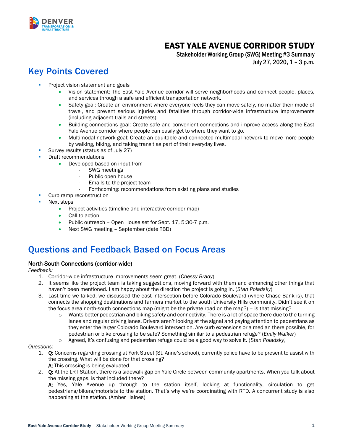

### EAST YALE AVENUE CORRIDOR STUDY

Stakeholder Working Group (SWG) Meeting #3 Summary July 27, 2020, 1 – 3 p.m.

## Key Points Covered

- Project vision statement and goals
	- Vision statement: The East Yale Avenue corridor will serve neighborhoods and connect people, places, and services through a safe and efficient transportation network.
	- Safety goal: Create an environment where everyone feels they can move safely, no matter their mode of travel, and prevent serious injuries and fatalities through corridor-wide infrastructure improvements (including adjacent trails and streets).
	- Building connections goal: Create safe and convenient connections and improve access along the East Yale Avenue corridor where people can easily get to where they want to go.
	- Multimodal network goal: Create an equitable and connected multimodal network to move more people by walking, biking, and taking transit as part of their everyday lives.
- Survey results (status as of July 27)
- Draft recommendations
	- Developed based on input from
		- SWG meetings
		- Public open house
		- Emails to the project team
		- Forthcoming: recommendations from existing plans and studies
- Curb ramp reconstruction
- Next steps
	- Project activities (timeline and interactive corridor map)
	- Call to action
	- Public outreach Open House set for Sept. 17, 5:30-7 p.m.
	- Next SWG meeting September (date TBD)

### Questions and Feedback Based on Focus Areas

#### North-South Connections (corridor-wide)

*Feedback:* 

- 1. Corridor-wide infrastructure improvements seem great. (*Chessy Brady*)
- 2. It seems like the project team is taking suggestions, moving forward with them and enhancing other things that haven't been mentioned. I am happy about the direction the project is going in. (*Stan Poladsky*)
- 3. Last time we talked, we discussed the east intersection before Colorado Boulevard (where Chase Bank is), that connects the shopping destinations and farmers market to the south University Hills community. Didn't see it on the focus area north-south connections map (might be the private road on the map?) – is that missing?
	- o Wants better pedestrian and biking safety and connectivity. There is a lot of space there due to the turning lanes and regular driving lanes. Drivers aren't looking at the signal and paying attention to pedestrians as they enter the larger Colorado Boulevard intersection. Are curb extensions or a median there possible, for pedestrian or bike crossing to be safe? Something similar to a pedestrian refuge? (*Emily Walker*)
	- o Agreed, it's confusing and pedestrian refuge could be a good way to solve it. (*Stan Poladsky)*

#### *Questions:*

- 1. Q: Concerns regarding crossing at York Street (St. Anne's school), currently police have to be present to assist with the crossing. What will be done for that crossing? A: This crossing is being evaluated.
- 2. Q: At the LRT Station, there is a sidewalk gap on Yale Circle between community apartments. When you talk about the missing gaps, is that included there?

A: Yes, Yale Avenue up through to the station itself, looking at functionality, circulation to get pedestrians/bikers/motorists to the station. That's why we're coordinating with RTD. A concurrent study is also happening at the station. (Amber Haines)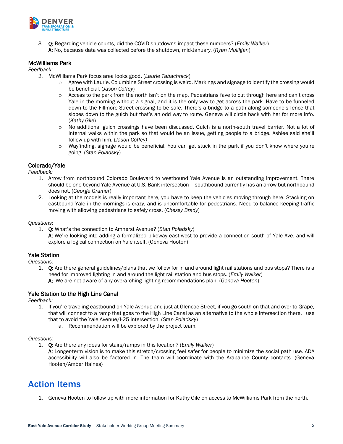

3. Q: Regarding vehicle counts, did the COVID shutdowns impact these numbers? (*Emily Walker*) A: No, because data was collected before the shutdown, mid-January. (*Ryan Mulligan*)

#### McWilliams Park

*Feedback:* 

- *1.* McWilliams Park focus area looks good. (*Laurie Tabachnick*)
	- $\circ$  Agree with Laurie. Columbine Street crossing is weird. Markings and signage to identify the crossing would be beneficial. (*Jason Coffey*)
	- o Access to the park from the north isn't on the map. Pedestrians fave to cut through here and can't cross Yale in the morning without a signal, and it is the only way to get across the park. Have to be funneled down to the Fillmore Street crossing to be safe. There's a bridge to a path along someone's fence that slopes down to the gulch but that's an odd way to route. Geneva will circle back with her for more info. (*Kathy Gile*)
	- No additional gulch crossings have been discussed. Gulch is a north-south travel barrier. Not a lot of internal walks within the park so that would be an issue, getting people to a bridge. Ashlee said she'll follow up with him. (*Jason Coffey)*
	- Wayfinding, signage would be beneficial. You can get stuck in the park if you don't know where you're going. (*Stan Poladsky*)

#### Colorado/Yale

*Feedback:* 

- 1. Arrow from northbound Colorado Boulevard to westbound Yale Avenue is an outstanding improvement. There should be one beyond Yale Avenue at U.S. Bank intersection – southbound currently has an arrow but northbound does not. (*George Gramer*)
- 2. Looking at the models is really important here, you have to keep the vehicles moving through here. Stacking on eastbound Yale in the mornings is crazy, and is uncomfortable for pedestrians. Need to balance keeping traffic moving with allowing pedestrians to safely cross. (*Chessy Brady*)

*Questions:* 

- 1. Q: What's the connection to Amherst Avenue? (*Stan Poladsky*)
	- A: We're looking into adding a formalized bikeway east-west to provide a connection south of Yale Ave, and will explore a logical connection on Yale itself. (Geneva Hooten)

#### Yale Station

*Questions:* 

1. Q: Are there general guidelines/plans that we follow for in and around light rail stations and bus stops? There is a need for improved lighting in and around the light rail station and bus stops. (*Emily Walker*) A: We are not aware of any overarching lighting recommendations plan. (*Geneva Hooten*)

#### Yale Station to the High Line Canal

*Feedback:* 

- 1. If you're traveling eastbound on Yale Avenue and just at Glencoe Street, if you go south on that and over to Grape, that will connect to a ramp that goes to the High Line Canal as an alternative to the whole intersection there. I use that to avoid the Yale Avenue/I-25 intersection. (*Stan Poladsky*)
	- a. Recommendation will be explored by the project team.

#### *Questions:*

- 1. Q: Are there any ideas for stairs/ramps in this location? (*Emily Walker*)
	- A: Longer-term vision is to make this stretch/crossing feel safer for people to minimize the social path use. ADA accessibility will also be factored in. The team will coordinate with the Arapahoe County contacts. (Geneva Hooten/Amber Haines)

### Action Items

1. Geneva Hooten to follow up with more information for Kathy Gile on access to McWilliams Park from the north.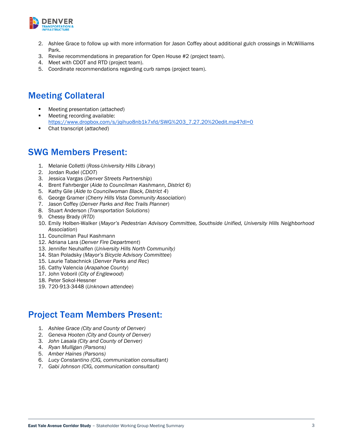

- 2. Ashlee Grace to follow up with more information for Jason Coffey about additional gulch crossings in McWilliams Park.
- 3. Revise recommendations in preparation for Open House #2 (project team).
- 4. Meet with CDOT and RTD (project team).
- 5. Coordinate recommendations regarding curb ramps (project team).

### Meeting Collateral

- Meeting presentation (*attached*)
- Meeting recording available: [https://www.dropbox.com/s/jqihuo8nb1k7xfd/SWG%203\\_7.27.20%20edit.mp4?dl=0](https://www.dropbox.com/s/jqihuo8nb1k7xfd/SWG%203_7.27.20%20edit.mp4?dl=0)
- Chat transcript (*attached*)

### SWG Members Present:

- 1. Melanie Colletti (*Ross-University Hills Library*)
- 2. Jordan Rudel (*CDOT*)
- 3. Jessica Vargas (*Denver Streets Partnership*)
- 4. Brent Fahrberger (*Aide to Councilman Kashmann, District 6*)
- 5. Kathy Gile (*Aide to Councilwoman Black, District 4*)
- 6. George Gramer (*Cherry Hills Vista Community Association*)
- 7. Jason Coffey (*Denver Parks and Rec Trails Planner*)
- 8. Stuart Anderson (*Transportation Solutions*)
- 9. Chessy Brady (*RTD*)
- 10. Emily Holben-Walker (*Mayor's Pedestrian Advisory Committee, Southside Unified, University Hills Neighborhood Association*)
- 11. Councilman Paul Kashmann
- 12. Adriana Lara (*Denver Fire Department*)
- 13. Jennifer Neuhalfen (*University Hills North Community)*
- 14. Stan Poladsky (*Mayor's Bicycle Advisory Committee*)
- 15. Laurie Tabachnick (*Denver Parks and Rec*)
- 16. Cathy Valencia (*Arapahoe County*)
- 17. John Voboril (*City of Englewood*)
- 18. Peter Sokol-Hessner
- 19. 720-913-3448 (*Unknown attendee*)

### Project Team Members Present:

- 1. *Ashlee Grace (City and County of Denver)*
- 2. *Geneva Hooten (City and County of Denver)*
- 3. *John Lasala (City and County of Denver)*
- 4. *Ryan Mulligan (Parsons)*
- 5. *Amber Haines (Parsons)*
- 6. *Lucy Constantino (CIG, communication consultant)*
- 7. *Gabi Johnson (CIG, communication consultant)*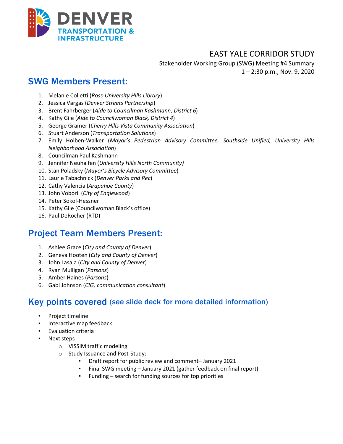

### EAST YALE CORRIDOR STUDY

Stakeholder Working Group (SWG) Meeting #4 Summary 1 – 2:30 p.m., Nov. 9, 2020

### SWG Members Present:

- 1. Melanie Colletti (*Ross-University Hills Library*)
- 2. Jessica Vargas (*Denver Streets Partnership*)
- 3. Brent Fahrberger (*Aide to Councilman Kashmann, District 6*)
- 4. Kathy Gile (*Aide to Councilwoman Black, District 4*)
- 5. George Gramer (*Cherry Hills Vista Community Association*)
- 6. Stuart Anderson (*Transportation Solutions*)
- 7. Emily Holben-Walker (*Mayor's Pedestrian Advisory Committee, Southside Unified, University Hills Neighborhood Association*)
- 8. Councilman Paul Kashmann
- 9. Jennifer Neuhalfen (*University Hills North Community)*
- 10. Stan Poladsky (*Mayor's Bicycle Advisory Committee*)
- 11. Laurie Tabachnick (*Denver Parks and Rec*)
- 12. Cathy Valencia (*Arapahoe County*)
- 13. John Voboril (*City of Englewood*)
- 14. Peter Sokol-Hessner
- 15. Kathy Gile (Councilwoman Black's office)
- 16. Paul DeRocher (RTD)

### Project Team Members Present:

- 1. Ashlee Grace (*City and County of Denver*)
- 2. Geneva Hooten (*City and County of Denver*)
- 3. John Lasala (*City and County of Denver*)
- 4. Ryan Mulligan (*Parsons*)
- 5. Amber Haines (*Parsons*)
- 6. Gabi Johnson (*CIG, communication consultant*)

### Key points covered (see slide deck for more detailed information)

- Project timeline
- Interactive map feedback
	- **Evaluation criteria**
- Next steps
	- o VISSIM traffic modeling
	- o Study Issuance and Post-Study:
		- Draft report for public review and comment– January 2021
		- Final SWG meeting January 2021 (gather feedback on final report)
		- Funding search for funding sources for top priorities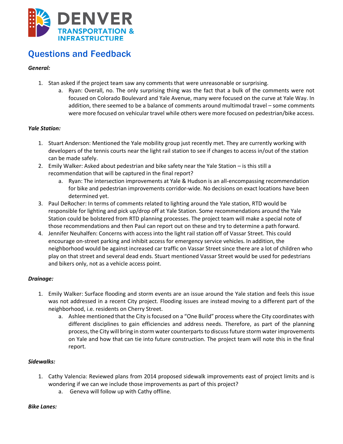

### Questions and Feedback

### *General:*

- 1. Stan asked if the project team saw any comments that were unreasonable or surprising.
	- a. Ryan: Overall, no. The only surprising thing was the fact that a bulk of the comments were not focused on Colorado Boulevard and Yale Avenue, many were focused on the curve at Yale Way. In addition, there seemed to be a balance of comments around multimodal travel – some comments were more focused on vehicular travel while others were more focused on pedestrian/bike access.

#### *Yale Station:*

- 1. Stuart Anderson: Mentioned the Yale mobility group just recently met. They are currently working with developers of the tennis courts near the light rail station to see if changes to access in/out of the station can be made safely.
- 2. Emily Walker: Asked about pedestrian and bike safety near the Yale Station is this still a recommendation that will be captured in the final report?
	- a. Ryan: The intersection improvements at Yale & Hudson is an all-encompassing recommendation for bike and pedestrian improvements corridor-wide. No decisions on exact locations have been determined yet.
- 3. Paul DeRocher: In terms of comments related to lighting around the Yale station, RTD would be responsible for lighting and pick up/drop off at Yale Station. Some recommendations around the Yale Station could be bolstered from RTD planning processes. The project team will make a special note of those recommendations and then Paul can report out on these and try to determine a path forward.
- 4. Jennifer Neuhalfen: Concerns with access into the light rail station off of Vassar Street. This could encourage on-street parking and inhibit access for emergency service vehicles. In addition, the neighborhood would be against increased car traffic on Vassar Street since there are a lot of children who play on that street and several dead ends. Stuart mentioned Vassar Street would be used for pedestrians and bikers only, not as a vehicle access point.

#### *Drainage:*

- 1. Emily Walker: Surface flooding and storm events are an issue around the Yale station and feels this issue was not addressed in a recent City project. Flooding issues are instead moving to a different part of the neighborhood, i.e. residents on Cherry Street.
	- a. Ashlee mentioned that the City is focused on a "One Build" process where the City coordinates with different disciplines to gain efficiencies and address needs. Therefore, as part of the planning process, the City will bring in storm water counterparts to discuss future storm water improvements on Yale and how that can tie into future construction. The project team will note this in the final report.

#### *Sidewalks:*

- 1. Cathy Valencia: Reviewed plans from 2014 proposed sidewalk improvements east of project limits and is wondering if we can we include those improvements as part of this project?
	- a. Geneva will follow up with Cathy offline.

#### *Bike Lanes:*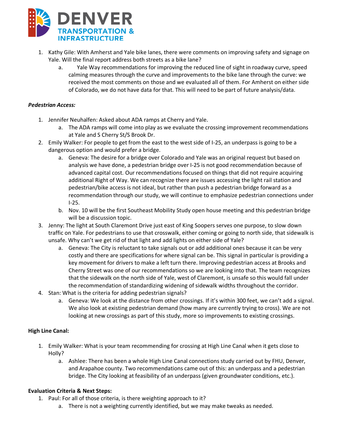

- 1. Kathy Gile: With Amherst and Yale bike lanes, there were comments on improving safety and signage on Yale. Will the final report address both streets as a bike lane?
	- a. Yale Way recommendations for improving the reduced line of sight in roadway curve, speed calming measures through the curve and improvements to the bike lane through the curve: we received the most comments on those and we evaluated all of them. For Amherst on either side of Colorado, we do not have data for that. This will need to be part of future analysis/data.

#### *Pedestrian Access:*

- 1. Jennifer Neuhalfen: Asked about ADA ramps at Cherry and Yale.
	- a. The ADA ramps will come into play as we evaluate the crossing improvement recommendations at Yale and S Cherry St/S Brook Dr.
- 2. Emily Walker: For people to get from the east to the west side of I-25, an underpass is going to be a dangerous option and would prefer a bridge.
	- a. Geneva: The desire for a bridge over Colorado and Yale was an original request but based on analysis we have done, a pedestrian bridge over I-25 is not good recommendation because of advanced capital cost. Our recommendations focused on things that did not require acquiring additional Right of Way. We can recognize there are issues accessing the light rail station and pedestrian/bike access is not ideal, but rather than push a pedestrian bridge forward as a recommendation through our study, we will continue to emphasize pedestrian connections under I-25.
	- b. Nov. 10 will be the first Southeast Mobility Study open house meeting and this pedestrian bridge will be a discussion topic.
- 3. Jenny: The light at South Claremont Drive just east of King Soopers serves one purpose, to slow down traffic on Yale. For pedestrians to use that crosswalk, either coming or going to north side, that sidewalk is unsafe. Why can't we get rid of that light and add lights on either side of Yale?
	- a. Geneva: The City is reluctant to take signals out or add additional ones because it can be very costly and there are specifications for where signal can be. This signal in particular is providing a key movement for drivers to make a left turn there. Improving pedestrian access at Brooks and Cherry Street was one of our recommendations so we are looking into that. The team recognizes that the sidewalk on the north side of Yale, west of Claremont, is unsafe so this would fall under the recommendation of standardizing widening of sidewalk widths throughout the corridor.
- 4. Stan: What is the criteria for adding pedestrian signals?
	- a. Geneva: We look at the distance from other crossings. If it's within 300 feet, we can't add a signal. We also look at existing pedestrian demand (how many are currently trying to cross). We are not looking at new crossings as part of this study, more so improvements to existing crossings.

#### **High Line Canal:**

- 1. Emily Walker: What is your team recommending for crossing at High Line Canal when it gets close to Holly?
	- a. Ashlee: There has been a whole High Line Canal connections study carried out by FHU, Denver, and Arapahoe county. Two recommendations came out of this: an underpass and a pedestrian bridge. The City looking at feasibility of an underpass (given groundwater conditions, etc.).

#### **Evaluation Criteria & Next Steps:**

- 1. Paul: For all of those criteria, is there weighting approach to it?
	- a. There is not a weighting currently identified, but we may make tweaks as needed.